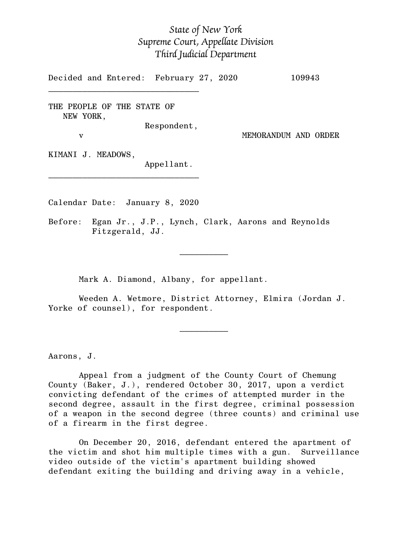## *State of New York Supreme Court, Appellate Division Third Judicial Department*

Decided and Entered: February 27, 2020 109943

THE PEOPLE OF THE STATE OF NEW YORK,

 $\mathcal{L}_\text{max}$ 

Respondent,

v MEMORANDUM AND ORDER

KIMANI J. MEADOWS,

Appellant.

Calendar Date: January 8, 2020

 $\mathcal{L}_\text{max}$  and  $\mathcal{L}_\text{max}$  are the set of  $\mathcal{L}_\text{max}$  . The set of  $\mathcal{L}_\text{max}$ 

 $\mathcal{L}_\text{max}$  and  $\mathcal{L}_\text{max}$  are the set of  $\mathcal{L}_\text{max}$  . The set of  $\mathcal{L}_\text{max}$ 

\_\_\_\_\_\_\_\_\_\_\_\_\_\_\_\_\_\_\_\_\_\_\_\_\_\_\_\_\_\_\_

Before: Egan Jr., J.P., Lynch, Clark, Aarons and Reynolds Fitzgerald, JJ.

Mark A. Diamond, Albany, for appellant.

Weeden A. Wetmore, District Attorney, Elmira (Jordan J. Yorke of counsel), for respondent.

Aarons, J.

Appeal from a judgment of the County Court of Chemung County (Baker, J.), rendered October 30, 2017, upon a verdict convicting defendant of the crimes of attempted murder in the second degree, assault in the first degree, criminal possession of a weapon in the second degree (three counts) and criminal use of a firearm in the first degree.

On December 20, 2016, defendant entered the apartment of the victim and shot him multiple times with a gun. Surveillance video outside of the victim's apartment building showed defendant exiting the building and driving away in a vehicle,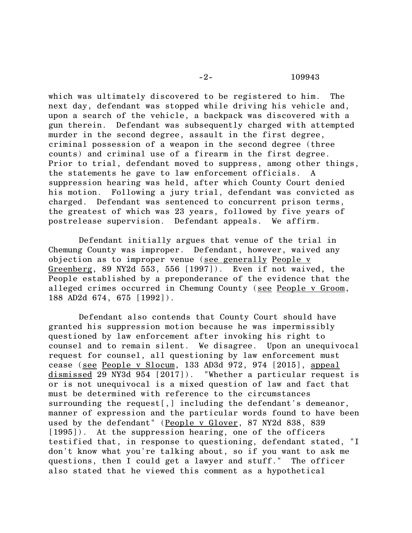which was ultimately discovered to be registered to him. The next day, defendant was stopped while driving his vehicle and, upon a search of the vehicle, a backpack was discovered with a gun therein. Defendant was subsequently charged with attempted murder in the second degree, assault in the first degree, criminal possession of a weapon in the second degree (three counts) and criminal use of a firearm in the first degree. Prior to trial, defendant moved to suppress, among other things, the statements he gave to law enforcement officials. A suppression hearing was held, after which County Court denied his motion. Following a jury trial, defendant was convicted as charged. Defendant was sentenced to concurrent prison terms, the greatest of which was 23 years, followed by five years of postrelease supervision. Defendant appeals. We affirm.

Defendant initially argues that venue of the trial in Chemung County was improper. Defendant, however, waived any objection as to improper venue (see generally People v Greenberg, 89 NY2d 553, 556 [1997]). Even if not waived, the People established by a preponderance of the evidence that the alleged crimes occurred in Chemung County (see People v Groom, 188 AD2d 674, 675 [1992]).

Defendant also contends that County Court should have granted his suppression motion because he was impermissibly questioned by law enforcement after invoking his right to counsel and to remain silent. We disagree. Upon an unequivocal request for counsel, all questioning by law enforcement must cease (see People v Slocum, 133 AD3d 972, 974 [2015], appeal dismissed 29 NY3d 954 [2017]). "Whether a particular request is or is not unequivocal is a mixed question of law and fact that must be determined with reference to the circumstances surrounding the request[,] including the defendant's demeanor, manner of expression and the particular words found to have been used by the defendant" (People v Glover, 87 NY2d 838, 839 [1995]). At the suppression hearing, one of the officers testified that, in response to questioning, defendant stated, "I don't know what you're talking about, so if you want to ask me questions, then I could get a lawyer and stuff." The officer also stated that he viewed this comment as a hypothetical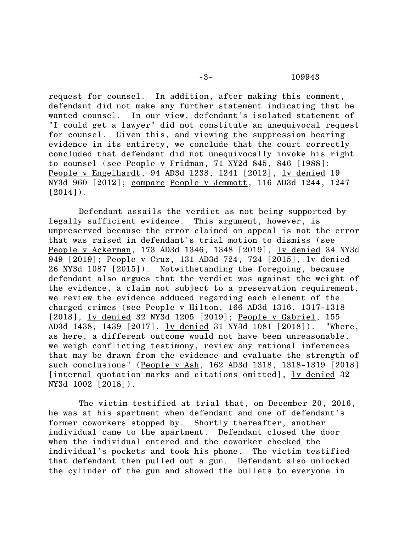request for counsel. In addition, after making this comment, defendant did not make any further statement indicating that he wanted counsel. In our view, defendant's isolated statement of "I could get a lawyer" did not constitute an unequivocal request for counsel. Given this, and viewing the suppression hearing evidence in its entirety, we conclude that the court correctly concluded that defendant did not unequivocally invoke his right to counsel (see People v Fridman, 71 NY2d 845, 846 [1988]; People v Engelhardt, 94 AD3d 1238, 1241 [2012], lv denied 19 NY3d 960 [2012]; compare People v Jemmott, 116 AD3d 1244, 1247  $[2014]$ .

Defendant assails the verdict as not being supported by legally sufficient evidence. This argument, however, is unpreserved because the error claimed on appeal is not the error that was raised in defendant's trial motion to dismiss (see People v Ackerman, 173 AD3d 1346, 1348 [2019], lv denied 34 NY3d 949 [2019]; People v Cruz, 131 AD3d 724, 724 [2015], lv denied 26 NY3d 1087 [2015]). Notwithstanding the foregoing, because defendant also argues that the verdict was against the weight of the evidence, a claim not subject to a preservation requirement, we review the evidence adduced regarding each element of the charged crimes (see People v Hilton, 166 AD3d 1316, 1317-1318 [2018], lv denied 32 NY3d 1205 [2019]; People v Gabriel, 155 AD3d 1438, 1439 [2017], lv denied 31 NY3d 1081 [2018]). "Where, as here, a different outcome would not have been unreasonable, we weigh conflicting testimony, review any rational inferences that may be drawn from the evidence and evaluate the strength of such conclusions" (People v Ash, 162 AD3d 1318, 1318-1319 [2018] [internal quotation marks and citations omitted], lv denied 32 NY3d 1002 [2018]).

The victim testified at trial that, on December 20, 2016, he was at his apartment when defendant and one of defendant's former coworkers stopped by. Shortly thereafter, another individual came to the apartment. Defendant closed the door when the individual entered and the coworker checked the individual's pockets and took his phone. The victim testified that defendant then pulled out a gun. Defendant also unlocked the cylinder of the gun and showed the bullets to everyone in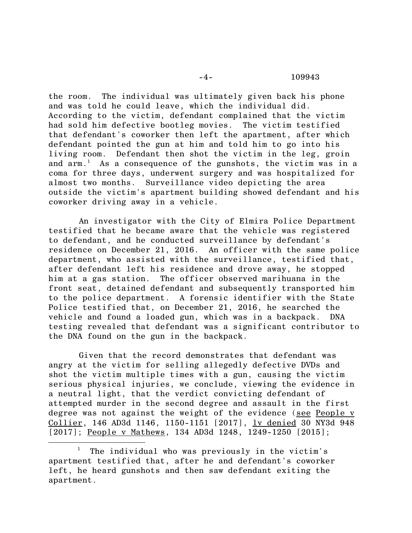the room. The individual was ultimately given back his phone and was told he could leave, which the individual did. According to the victim, defendant complained that the victim had sold him defective bootleg movies. The victim testified that defendant's coworker then left the apartment, after which defendant pointed the gun at him and told him to go into his living room. Defendant then shot the victim in the leg, groin and  $arm.^1$  As a consequence of the gunshots, the victim was in a coma for three days, underwent surgery and was hospitalized for almost two months. Surveillance video depicting the area outside the victim's apartment building showed defendant and his coworker driving away in a vehicle.

An investigator with the City of Elmira Police Department testified that he became aware that the vehicle was registered to defendant, and he conducted surveillance by defendant's residence on December 21, 2016. An officer with the same police department, who assisted with the surveillance, testified that, after defendant left his residence and drove away, he stopped him at a gas station. The officer observed marihuana in the front seat, detained defendant and subsequently transported him to the police department. A forensic identifier with the State Police testified that, on December 21, 2016, he searched the vehicle and found a loaded gun, which was in a backpack. DNA testing revealed that defendant was a significant contributor to the DNA found on the gun in the backpack.

Given that the record demonstrates that defendant was angry at the victim for selling allegedly defective DVDs and shot the victim multiple times with a gun, causing the victim serious physical injuries, we conclude, viewing the evidence in a neutral light, that the verdict convicting defendant of attempted murder in the second degree and assault in the first degree was not against the weight of the evidence (see People v Collier, 146 AD3d 1146, 1150-1151 [2017], <u>lv denied</u> 30 NY3d 948 [2017]; People v Mathews, 134 AD3d 1248, 1249-1250 [2015];

The individual who was previously in the victim's apartment testified that, after he and defendant's coworker left, he heard gunshots and then saw defendant exiting the apartment.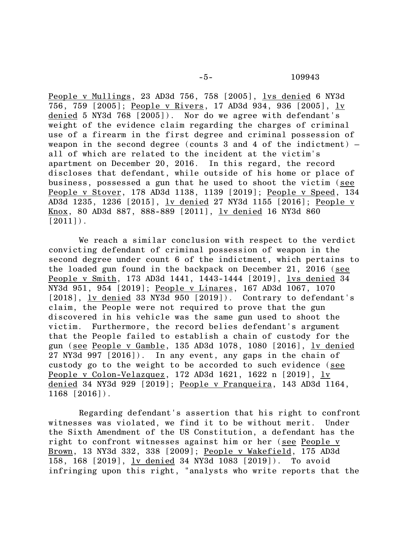People v Mullings, 23 AD3d 756, 758 [2005], lvs denied 6 NY3d 756, 759 [2005]; People v Rivers, 17 AD3d 934, 936 [2005], lv denied 5 NY3d 768 [2005]). Nor do we agree with defendant's weight of the evidence claim regarding the charges of criminal use of a firearm in the first degree and criminal possession of weapon in the second degree (counts 3 and 4 of the indictment)  $$ all of which are related to the incident at the victim's apartment on December 20, 2016. In this regard, the record discloses that defendant, while outside of his home or place of business, possessed a gun that he used to shoot the victim (see People v Stover, 178 AD3d 1138, 1139 [2019]; People v Speed, 134 AD3d 1235, 1236 [2015], lv denied 27 NY3d 1155 [2016]; People v Knox, 80 AD3d 887, 888-889 [2011], lv denied 16 NY3d 860  $[2011]$ .

We reach a similar conclusion with respect to the verdict convicting defendant of criminal possession of weapon in the second degree under count 6 of the indictment, which pertains to the loaded gun found in the backpack on December 21, 2016 (see People v Smith, 173 AD3d 1441, 1443-1444 [2019], lvs denied 34 NY3d 951, 954 [2019]; People v Linares, 167 AD3d 1067, 1070 [2018], lv denied 33 NY3d 950 [2019]). Contrary to defendant's claim, the People were not required to prove that the gun discovered in his vehicle was the same gun used to shoot the victim. Furthermore, the record belies defendant's argument that the People failed to establish a chain of custody for the gun (see People v Gamble, 135 AD3d 1078, 1080 [2016], lv denied 27 NY3d 997 [2016]). In any event, any gaps in the chain of custody go to the weight to be accorded to such evidence (see People v Colon-Velazquez, 172 AD3d 1621, 1622 n [2019], lv denied 34 NY3d 929 [2019]; People v Franqueira, 143 AD3d 1164, 1168 [2016]).

Regarding defendant's assertion that his right to confront witnesses was violated, we find it to be without merit. Under the Sixth Amendment of the US Constitution, a defendant has the right to confront witnesses against him or her (see People v Brown, 13 NY3d 332, 338 [2009]; People v Wakefield, 175 AD3d 158, 168 [2019], lv denied 34 NY3d 1083 [2019]). To avoid infringing upon this right, "analysts who write reports that the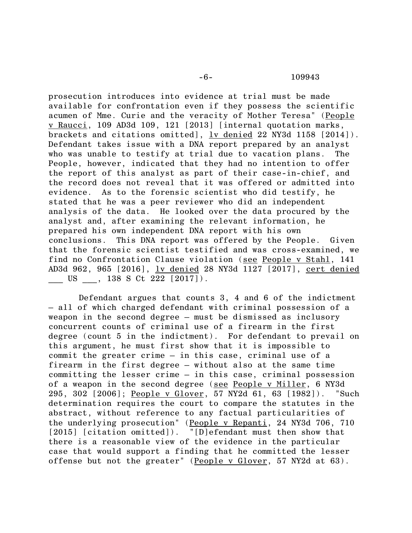prosecution introduces into evidence at trial must be made available for confrontation even if they possess the scientific acumen of Mme. Curie and the veracity of Mother Teresa" (People v Raucci, 109 AD3d 109, 121 [2013] [internal quotation marks, brackets and citations omitted], lv denied 22 NY3d 1158 [2014]). Defendant takes issue with a DNA report prepared by an analyst who was unable to testify at trial due to vacation plans. The People, however, indicated that they had no intention to offer the report of this analyst as part of their case-in-chief, and the record does not reveal that it was offered or admitted into evidence. As to the forensic scientist who did testify, he stated that he was a peer reviewer who did an independent analysis of the data. He looked over the data procured by the analyst and, after examining the relevant information, he prepared his own independent DNA report with his own conclusions. This DNA report was offered by the People. Given that the forensic scientist testified and was cross-examined, we find no Confrontation Clause violation (see People v Stahl, 141 AD3d 962, 965 [2016], lv denied 28 NY3d 1127 [2017], cert denied  $\frac{1}{2}$  US  $\frac{138}{2}$  S Ct 222 [2017]).

Defendant argues that counts 3, 4 and 6 of the indictment – all of which charged defendant with criminal possession of a weapon in the second degree – must be dismissed as inclusory concurrent counts of criminal use of a firearm in the first degree (count 5 in the indictment). For defendant to prevail on this argument, he must first show that it is impossible to commit the greater crime – in this case, criminal use of a firearm in the first degree – without also at the same time committing the lesser crime – in this case, criminal possession of a weapon in the second degree (see People v Miller, 6 NY3d 295, 302 [2006]; People v Glover, 57 NY2d 61, 63 [1982]). "Such determination requires the court to compare the statutes in the abstract, without reference to any factual particularities of the underlying prosecution" (People v Repanti, 24 NY3d 706, 710 [2015] [citation omitted]). "[D]efendant must then show that there is a reasonable view of the evidence in the particular case that would support a finding that he committed the lesser offense but not the greater" (People v Glover, 57 NY2d at 63).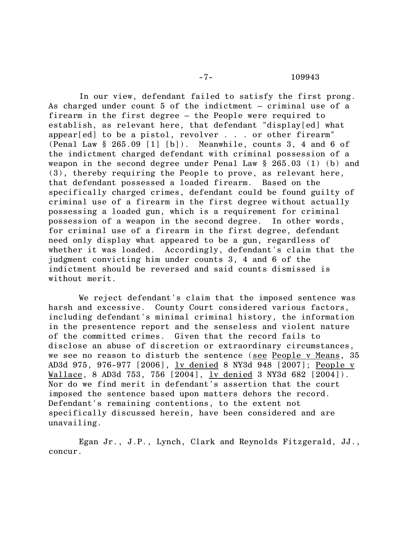## -7- 109943

In our view, defendant failed to satisfy the first prong. As charged under count 5 of the indictment – criminal use of a firearm in the first degree – the People were required to establish, as relevant here, that defendant "display[ed] what appear[ed] to be a pistol, revolver . . . or other firearm" (Penal Law  $\S 265.09$  [1] [b]). Meanwhile, counts 3, 4 and 6 of the indictment charged defendant with criminal possession of a weapon in the second degree under Penal Law § 265.03 (1) (b) and (3), thereby requiring the People to prove, as relevant here, that defendant possessed a loaded firearm. Based on the specifically charged crimes, defendant could be found guilty of criminal use of a firearm in the first degree without actually possessing a loaded gun, which is a requirement for criminal possession of a weapon in the second degree. In other words, for criminal use of a firearm in the first degree, defendant need only display what appeared to be a gun, regardless of whether it was loaded. Accordingly, defendant's claim that the judgment convicting him under counts 3, 4 and 6 of the indictment should be reversed and said counts dismissed is without merit.

We reject defendant's claim that the imposed sentence was harsh and excessive. County Court considered various factors, including defendant's minimal criminal history, the information in the presentence report and the senseless and violent nature of the committed crimes. Given that the record fails to disclose an abuse of discretion or extraordinary circumstances, we see no reason to disturb the sentence (see People v Means, 35 AD3d 975, 976-977 [2006], <u>lv denied</u> 8 NY3d 948 [2007]; People v Wallace, 8 AD3d 753, 756 [2004], <u>lv denied</u> 3 NY3d 682 [2004]). Nor do we find merit in defendant's assertion that the court imposed the sentence based upon matters dehors the record. Defendant's remaining contentions, to the extent not specifically discussed herein, have been considered and are unavailing.

Egan Jr., J.P., Lynch, Clark and Reynolds Fitzgerald, JJ., concur.